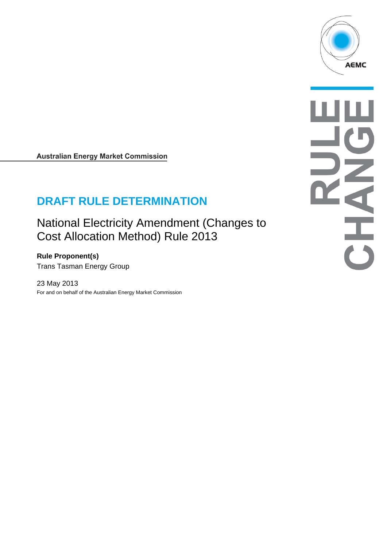

**Australian Energy Market Commission** 

# **DRAFT RULE DETERMINATION**

National Electricity Amendment (Changes to Cost Allocation Method) Rule 2013

**Rule Proponent(s)**  Trans Tasman Energy Group

23 May 2013 For and on behalf of the Australian Energy Market Commission

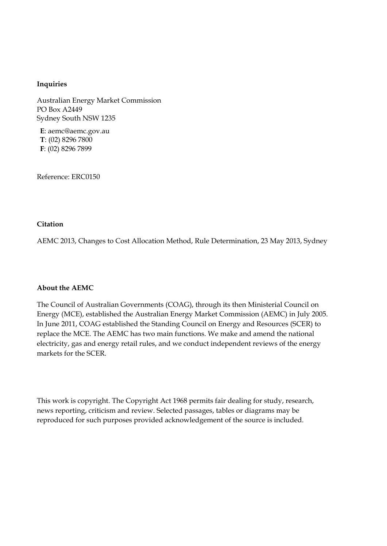#### **Inquiries**

Australian Energy Market Commission PO Box A2449 Sydney South NSW 1235

**E**: aemc@aemc.gov.au **T**: (02) 8296 7800 **F**: (02) 8296 7899

Reference: ERC0150

#### **Citation**

AEMC 2013, Changes to Cost Allocation Method, Rule Determination, 23 May 2013, Sydney

#### **About the AEMC**

The Council of Australian Governments (COAG), through its then Ministerial Council on Energy (MCE), established the Australian Energy Market Commission (AEMC) in July 2005. In June 2011, COAG established the Standing Council on Energy and Resources (SCER) to replace the MCE. The AEMC has two main functions. We make and amend the national electricity, gas and energy retail rules, and we conduct independent reviews of the energy markets for the SCER.

This work is copyright. The Copyright Act 1968 permits fair dealing for study, research, news reporting, criticism and review. Selected passages, tables or diagrams may be reproduced for such purposes provided acknowledgement of the source is included.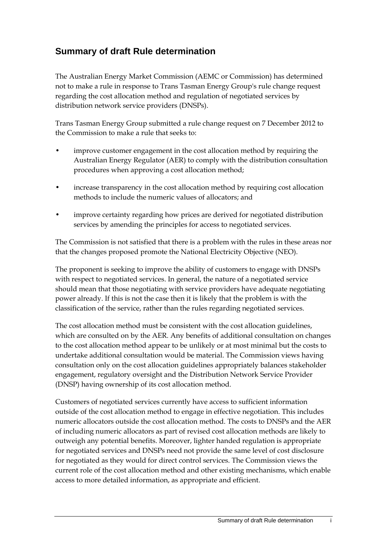# **Summary of draft Rule determination**

The Australian Energy Market Commission (AEMC or Commission) has determined not to make a rule in response to Trans Tasman Energy Group's rule change request regarding the cost allocation method and regulation of negotiated services by distribution network service providers (DNSPs).

Trans Tasman Energy Group submitted a rule change request on 7 December 2012 to the Commission to make a rule that seeks to:

- improve customer engagement in the cost allocation method by requiring the Australian Energy Regulator (AER) to comply with the distribution consultation procedures when approving a cost allocation method;
- increase transparency in the cost allocation method by requiring cost allocation methods to include the numeric values of allocators; and
- improve certainty regarding how prices are derived for negotiated distribution services by amending the principles for access to negotiated services.

The Commission is not satisfied that there is a problem with the rules in these areas nor that the changes proposed promote the National Electricity Objective (NEO).

The proponent is seeking to improve the ability of customers to engage with DNSPs with respect to negotiated services. In general, the nature of a negotiated service should mean that those negotiating with service providers have adequate negotiating power already. If this is not the case then it is likely that the problem is with the classification of the service, rather than the rules regarding negotiated services.

The cost allocation method must be consistent with the cost allocation guidelines, which are consulted on by the AER. Any benefits of additional consultation on changes to the cost allocation method appear to be unlikely or at most minimal but the costs to undertake additional consultation would be material. The Commission views having consultation only on the cost allocation guidelines appropriately balances stakeholder engagement, regulatory oversight and the Distribution Network Service Provider (DNSP) having ownership of its cost allocation method.

Customers of negotiated services currently have access to sufficient information outside of the cost allocation method to engage in effective negotiation. This includes numeric allocators outside the cost allocation method. The costs to DNSPs and the AER of including numeric allocators as part of revised cost allocation methods are likely to outweigh any potential benefits. Moreover, lighter handed regulation is appropriate for negotiated services and DNSPs need not provide the same level of cost disclosure for negotiated as they would for direct control services. The Commission views the current role of the cost allocation method and other existing mechanisms, which enable access to more detailed information, as appropriate and efficient.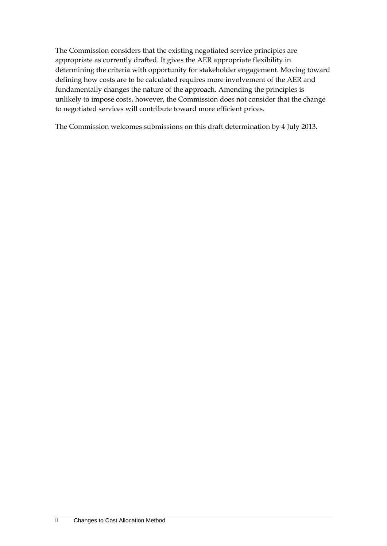The Commission considers that the existing negotiated service principles are appropriate as currently drafted. It gives the AER appropriate flexibility in determining the criteria with opportunity for stakeholder engagement. Moving toward defining how costs are to be calculated requires more involvement of the AER and fundamentally changes the nature of the approach. Amending the principles is unlikely to impose costs, however, the Commission does not consider that the change to negotiated services will contribute toward more efficient prices.

The Commission welcomes submissions on this draft determination by 4 July 2013.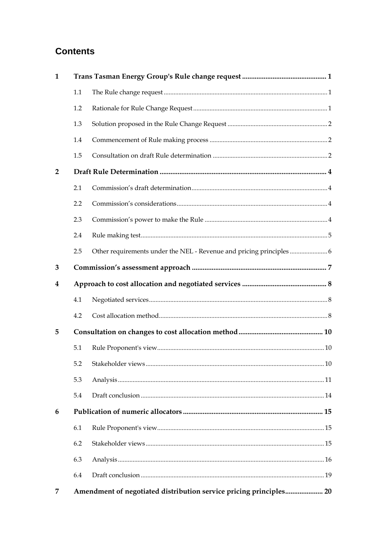# **Contents**

| $\mathbf{1}$   |     |                                                                    |  |
|----------------|-----|--------------------------------------------------------------------|--|
|                | 1.1 |                                                                    |  |
|                | 1.2 |                                                                    |  |
|                | 1.3 |                                                                    |  |
|                | 1.4 |                                                                    |  |
|                | 1.5 |                                                                    |  |
| $\overline{2}$ |     |                                                                    |  |
|                | 2.1 |                                                                    |  |
|                | 2.2 |                                                                    |  |
|                | 2.3 |                                                                    |  |
|                | 2.4 |                                                                    |  |
|                | 2.5 |                                                                    |  |
| 3              |     |                                                                    |  |
| 4              |     |                                                                    |  |
|                | 4.1 |                                                                    |  |
|                | 4.2 |                                                                    |  |
| 5              |     |                                                                    |  |
|                | 5.1 |                                                                    |  |
|                |     |                                                                    |  |
|                | 5.3 |                                                                    |  |
|                | 5.4 |                                                                    |  |
| 6              |     |                                                                    |  |
|                | 6.1 |                                                                    |  |
|                | 6.2 |                                                                    |  |
|                | 6.3 |                                                                    |  |
|                | 6.4 |                                                                    |  |
| 7              |     | Amendment of negotiated distribution service pricing principles 20 |  |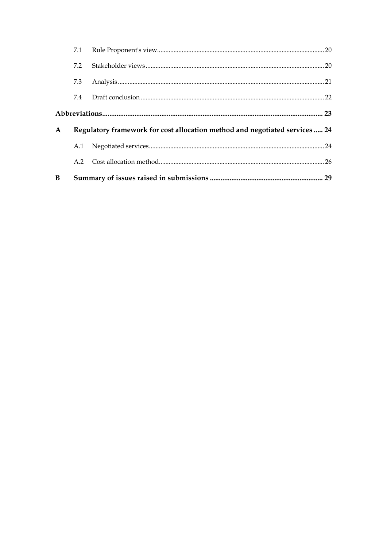| B            |     |                                                                             |  |
|--------------|-----|-----------------------------------------------------------------------------|--|
|              | A 2 |                                                                             |  |
|              | A.1 |                                                                             |  |
| $\mathbf{A}$ |     | Regulatory framework for cost allocation method and negotiated services  24 |  |
|              |     |                                                                             |  |
|              | 7.4 |                                                                             |  |
|              | 7.3 |                                                                             |  |
|              | 7.2 |                                                                             |  |
|              | 7.1 |                                                                             |  |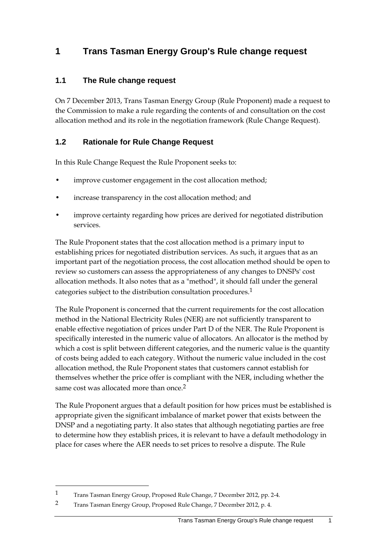# **1 Trans Tasman Energy Group's Rule change request**

### **1.1 The Rule change request**

On 7 December 2013, Trans Tasman Energy Group (Rule Proponent) made a request to the Commission to make a rule regarding the contents of and consultation on the cost allocation method and its role in the negotiation framework (Rule Change Request).

### **1.2 Rationale for Rule Change Request**

In this Rule Change Request the Rule Proponent seeks to:

- improve customer engagement in the cost allocation method;
- increase transparency in the cost allocation method; and
- improve certainty regarding how prices are derived for negotiated distribution services.

The Rule Proponent states that the cost allocation method is a primary input to establishing prices for negotiated distribution services. As such, it argues that as an important part of the negotiation process, the cost allocation method should be open to review so customers can assess the appropriateness of any changes to DNSPs' cost allocation methods. It also notes that as a "method", it should fall under the general categories subject to the distribution consultation procedures.1

The Rule Proponent is concerned that the current requirements for the cost allocation method in the National Electricity Rules (NER) are not sufficiently transparent to enable effective negotiation of prices under Part D of the NER. The Rule Proponent is specifically interested in the numeric value of allocators. An allocator is the method by which a cost is split between different categories, and the numeric value is the quantity of costs being added to each category. Without the numeric value included in the cost allocation method, the Rule Proponent states that customers cannot establish for themselves whether the price offer is compliant with the NER, including whether the same cost was allocated more than once 2

The Rule Proponent argues that a default position for how prices must be established is appropriate given the significant imbalance of market power that exists between the DNSP and a negotiating party. It also states that although negotiating parties are free to determine how they establish prices, it is relevant to have a default methodology in place for cases where the AER needs to set prices to resolve a dispute. The Rule

<sup>1</sup> Trans Tasman Energy Group, Proposed Rule Change, 7 December 2012, pp. 2-4.

<sup>2</sup> Trans Tasman Energy Group, Proposed Rule Change, 7 December 2012, p. 4.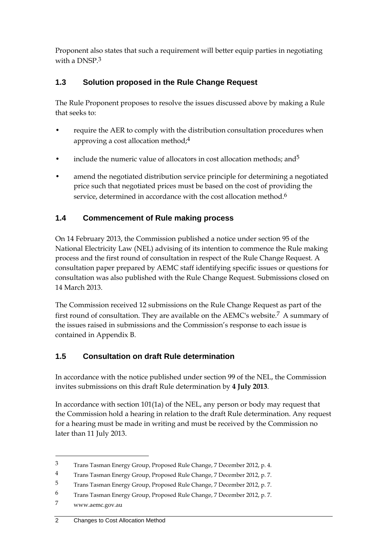Proponent also states that such a requirement will better equip parties in negotiating with a DNSP  $3$ 

# **1.3 Solution proposed in the Rule Change Request**

The Rule Proponent proposes to resolve the issues discussed above by making a Rule that seeks to:

- require the AER to comply with the distribution consultation procedures when approving a cost allocation method;4
- include the numeric value of allocators in cost allocation methods; and<sup>5</sup>
- amend the negotiated distribution service principle for determining a negotiated price such that negotiated prices must be based on the cost of providing the service, determined in accordance with the cost allocation method.<sup>6</sup>

# **1.4 Commencement of Rule making process**

On 14 February 2013, the Commission published a notice under section 95 of the National Electricity Law (NEL) advising of its intention to commence the Rule making process and the first round of consultation in respect of the Rule Change Request. A consultation paper prepared by AEMC staff identifying specific issues or questions for consultation was also published with the Rule Change Request. Submissions closed on 14 March 2013.

The Commission received 12 submissions on the Rule Change Request as part of the first round of consultation. They are available on the AEMC's website.7 A summary of the issues raised in submissions and the Commission's response to each issue is contained in Appendix B.

# **1.5 Consultation on draft Rule determination**

In accordance with the notice published under section 99 of the NEL, the Commission invites submissions on this draft Rule determination by **4 July 2013**.

In accordance with section 101(1a) of the NEL, any person or body may request that the Commission hold a hearing in relation to the draft Rule determination. Any request for a hearing must be made in writing and must be received by the Commission no later than 11 July 2013.

<sup>3</sup> Trans Tasman Energy Group, Proposed Rule Change, 7 December 2012, p. 4.

<sup>4</sup> Trans Tasman Energy Group, Proposed Rule Change, 7 December 2012, p. 7.

<sup>5</sup> Trans Tasman Energy Group, Proposed Rule Change, 7 December 2012, p. 7.

<sup>6</sup> Trans Tasman Energy Group, Proposed Rule Change, 7 December 2012, p. 7.

<sup>7</sup> www.aemc.gov.au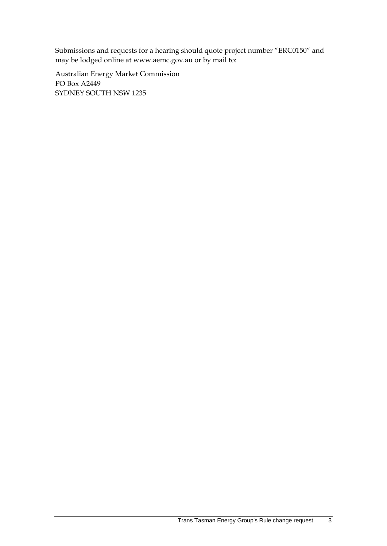Submissions and requests for a hearing should quote project number "ERC0150" and may be lodged online at www.aemc.gov.au or by mail to:

Australian Energy Market Commission PO Box A2449 SYDNEY SOUTH NSW 1235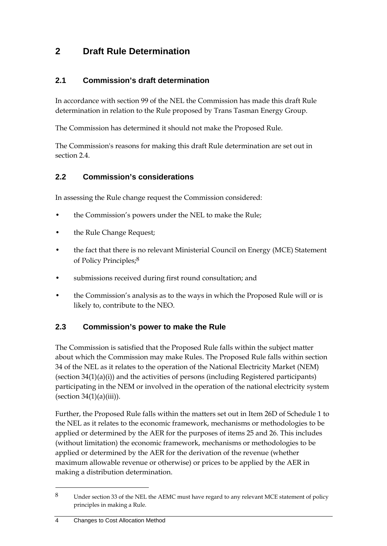# **2 Draft Rule Determination**

### **2.1 Commission's draft determination**

In accordance with section 99 of the NEL the Commission has made this draft Rule determination in relation to the Rule proposed by Trans Tasman Energy Group.

The Commission has determined it should not make the Proposed Rule.

The Commission's reasons for making this draft Rule determination are set out in section 2.4.

### **2.2 Commission's considerations**

In assessing the Rule change request the Commission considered:

- the Commission's powers under the NEL to make the Rule;
- the Rule Change Request;
- the fact that there is no relevant Ministerial Council on Energy (MCE) Statement of Policy Principles;8
- submissions received during first round consultation; and
- the Commission's analysis as to the ways in which the Proposed Rule will or is likely to, contribute to the NEO.

### **2.3 Commission's power to make the Rule**

The Commission is satisfied that the Proposed Rule falls within the subject matter about which the Commission may make Rules. The Proposed Rule falls within section 34 of the NEL as it relates to the operation of the National Electricity Market (NEM) (section 34(1)(a)(i)) and the activities of persons (including Registered participants) participating in the NEM or involved in the operation of the national electricity system (section  $34(1)(a)(iii)$ ).

Further, the Proposed Rule falls within the matters set out in Item 26D of Schedule 1 to the NEL as it relates to the economic framework, mechanisms or methodologies to be applied or determined by the AER for the purposes of items 25 and 26. This includes (without limitation) the economic framework, mechanisms or methodologies to be applied or determined by the AER for the derivation of the revenue (whether maximum allowable revenue or otherwise) or prices to be applied by the AER in making a distribution determination.

<sup>8</sup> Under section 33 of the NEL the AEMC must have regard to any relevant MCE statement of policy principles in making a Rule.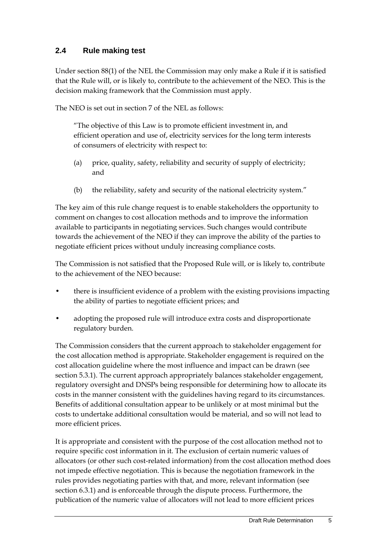### **2.4 Rule making test**

Under section 88(1) of the NEL the Commission may only make a Rule if it is satisfied that the Rule will, or is likely to, contribute to the achievement of the NEO. This is the decision making framework that the Commission must apply.

The NEO is set out in section 7 of the NEL as follows:

"The objective of this Law is to promote efficient investment in, and efficient operation and use of, electricity services for the long term interests of consumers of electricity with respect to:

- (a) price, quality, safety, reliability and security of supply of electricity; and
- (b) the reliability, safety and security of the national electricity system."

The key aim of this rule change request is to enable stakeholders the opportunity to comment on changes to cost allocation methods and to improve the information available to participants in negotiating services. Such changes would contribute towards the achievement of the NEO if they can improve the ability of the parties to negotiate efficient prices without unduly increasing compliance costs.

The Commission is not satisfied that the Proposed Rule will, or is likely to, contribute to the achievement of the NEO because:

- there is insufficient evidence of a problem with the existing provisions impacting the ability of parties to negotiate efficient prices; and
- adopting the proposed rule will introduce extra costs and disproportionate regulatory burden.

The Commission considers that the current approach to stakeholder engagement for the cost allocation method is appropriate. Stakeholder engagement is required on the cost allocation guideline where the most influence and impact can be drawn (see section 5.3.1). The current approach appropriately balances stakeholder engagement, regulatory oversight and DNSPs being responsible for determining how to allocate its costs in the manner consistent with the guidelines having regard to its circumstances. Benefits of additional consultation appear to be unlikely or at most minimal but the costs to undertake additional consultation would be material, and so will not lead to more efficient prices.

It is appropriate and consistent with the purpose of the cost allocation method not to require specific cost information in it. The exclusion of certain numeric values of allocators (or other such cost-related information) from the cost allocation method does not impede effective negotiation. This is because the negotiation framework in the rules provides negotiating parties with that, and more, relevant information (see section 6.3.1) and is enforceable through the dispute process. Furthermore, the publication of the numeric value of allocators will not lead to more efficient prices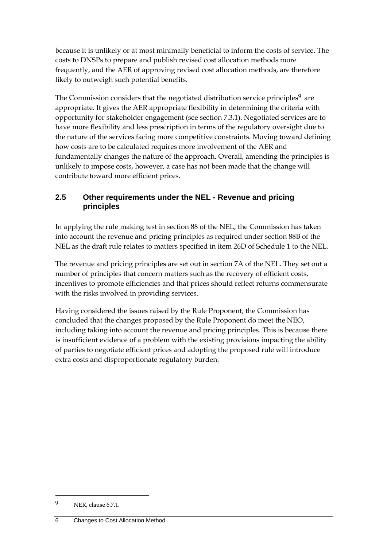because it is unlikely or at most minimally beneficial to inform the costs of service. The costs to DNSPs to prepare and publish revised cost allocation methods more frequently, and the AER of approving revised cost allocation methods, are therefore likely to outweigh such potential benefits.

The Commission considers that the negotiated distribution service principles<sup>9</sup> are appropriate. It gives the AER appropriate flexibility in determining the criteria with opportunity for stakeholder engagement (see section 7.3.1). Negotiated services are to have more flexibility and less prescription in terms of the regulatory oversight due to the nature of the services facing more competitive constraints. Moving toward defining how costs are to be calculated requires more involvement of the AER and fundamentally changes the nature of the approach. Overall, amending the principles is unlikely to impose costs, however, a case has not been made that the change will contribute toward more efficient prices.

### **2.5 Other requirements under the NEL - Revenue and pricing principles**

In applying the rule making test in section 88 of the NEL, the Commission has taken into account the revenue and pricing principles as required under section 88B of the NEL as the draft rule relates to matters specified in item 26D of Schedule 1 to the NEL.

The revenue and pricing principles are set out in section 7A of the NEL. They set out a number of principles that concern matters such as the recovery of efficient costs, incentives to promote efficiencies and that prices should reflect returns commensurate with the risks involved in providing services.

Having considered the issues raised by the Rule Proponent, the Commission has concluded that the changes proposed by the Rule Proponent do meet the NEO, including taking into account the revenue and pricing principles. This is because there is insufficient evidence of a problem with the existing provisions impacting the ability of parties to negotiate efficient prices and adopting the proposed rule will introduce extra costs and disproportionate regulatory burden.

<sup>9</sup> NER, clause 6.7.1.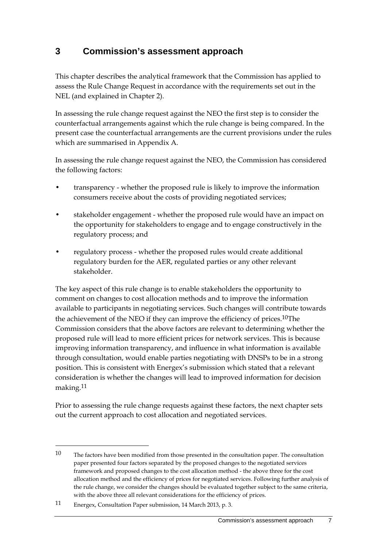# **3 Commission's assessment approach**

This chapter describes the analytical framework that the Commission has applied to assess the Rule Change Request in accordance with the requirements set out in the NEL (and explained in Chapter 2).

In assessing the rule change request against the NEO the first step is to consider the counterfactual arrangements against which the rule change is being compared. In the present case the counterfactual arrangements are the current provisions under the rules which are summarised in Appendix A.

In assessing the rule change request against the NEO, the Commission has considered the following factors:

- transparency whether the proposed rule is likely to improve the information consumers receive about the costs of providing negotiated services;
- stakeholder engagement whether the proposed rule would have an impact on the opportunity for stakeholders to engage and to engage constructively in the regulatory process; and
- regulatory process whether the proposed rules would create additional regulatory burden for the AER, regulated parties or any other relevant stakeholder.

The key aspect of this rule change is to enable stakeholders the opportunity to comment on changes to cost allocation methods and to improve the information available to participants in negotiating services. Such changes will contribute towards the achievement of the NEO if they can improve the efficiency of prices.10The Commission considers that the above factors are relevant to determining whether the proposed rule will lead to more efficient prices for network services. This is because improving information transparency, and influence in what information is available through consultation, would enable parties negotiating with DNSPs to be in a strong position. This is consistent with Energex's submission which stated that a relevant consideration is whether the changes will lead to improved information for decision making.11

Prior to assessing the rule change requests against these factors, the next chapter sets out the current approach to cost allocation and negotiated services.

<sup>10</sup> The factors have been modified from those presented in the consultation paper. The consultation paper presented four factors separated by the proposed changes to the negotiated services framework and proposed changes to the cost allocation method - the above three for the cost allocation method and the efficiency of prices for negotiated services. Following further analysis of the rule change, we consider the changes should be evaluated together subject to the same criteria, with the above three all relevant considerations for the efficiency of prices.

<sup>11</sup> Energex, Consultation Paper submission, 14 March 2013, p. 3.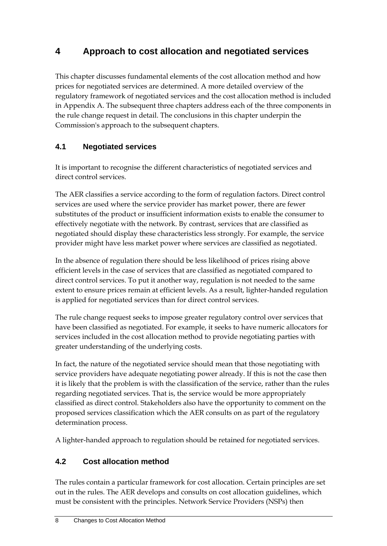# **4 Approach to cost allocation and negotiated services**

This chapter discusses fundamental elements of the cost allocation method and how prices for negotiated services are determined. A more detailed overview of the regulatory framework of negotiated services and the cost allocation method is included in Appendix A. The subsequent three chapters address each of the three components in the rule change request in detail. The conclusions in this chapter underpin the Commission's approach to the subsequent chapters.

# **4.1 Negotiated services**

It is important to recognise the different characteristics of negotiated services and direct control services.

The AER classifies a service according to the form of regulation factors. Direct control services are used where the service provider has market power, there are fewer substitutes of the product or insufficient information exists to enable the consumer to effectively negotiate with the network. By contrast, services that are classified as negotiated should display these characteristics less strongly. For example, the service provider might have less market power where services are classified as negotiated.

In the absence of regulation there should be less likelihood of prices rising above efficient levels in the case of services that are classified as negotiated compared to direct control services. To put it another way, regulation is not needed to the same extent to ensure prices remain at efficient levels. As a result, lighter-handed regulation is applied for negotiated services than for direct control services.

The rule change request seeks to impose greater regulatory control over services that have been classified as negotiated. For example, it seeks to have numeric allocators for services included in the cost allocation method to provide negotiating parties with greater understanding of the underlying costs.

In fact, the nature of the negotiated service should mean that those negotiating with service providers have adequate negotiating power already. If this is not the case then it is likely that the problem is with the classification of the service, rather than the rules regarding negotiated services. That is, the service would be more appropriately classified as direct control. Stakeholders also have the opportunity to comment on the proposed services classification which the AER consults on as part of the regulatory determination process.

A lighter-handed approach to regulation should be retained for negotiated services.

# **4.2 Cost allocation method**

The rules contain a particular framework for cost allocation. Certain principles are set out in the rules. The AER develops and consults on cost allocation guidelines, which must be consistent with the principles. Network Service Providers (NSPs) then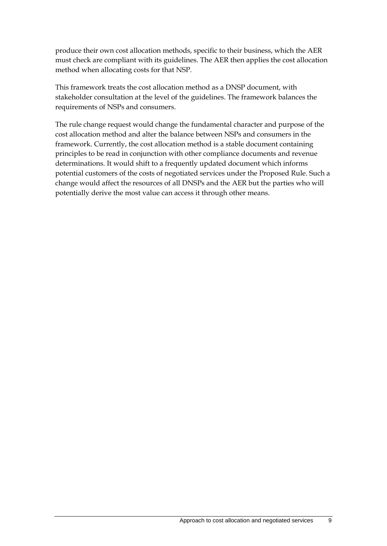produce their own cost allocation methods, specific to their business, which the AER must check are compliant with its guidelines. The AER then applies the cost allocation method when allocating costs for that NSP.

This framework treats the cost allocation method as a DNSP document, with stakeholder consultation at the level of the guidelines. The framework balances the requirements of NSPs and consumers.

The rule change request would change the fundamental character and purpose of the cost allocation method and alter the balance between NSPs and consumers in the framework. Currently, the cost allocation method is a stable document containing principles to be read in conjunction with other compliance documents and revenue determinations. It would shift to a frequently updated document which informs potential customers of the costs of negotiated services under the Proposed Rule. Such a change would affect the resources of all DNSPs and the AER but the parties who will potentially derive the most value can access it through other means.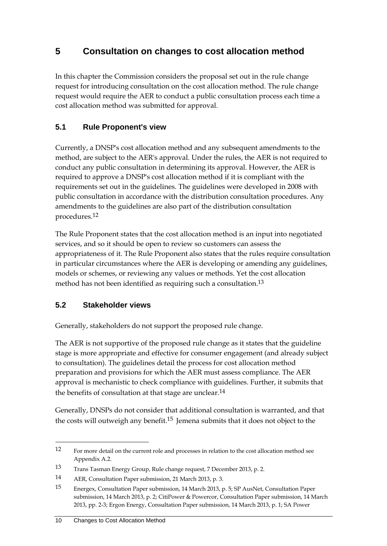# **5 Consultation on changes to cost allocation method**

In this chapter the Commission considers the proposal set out in the rule change request for introducing consultation on the cost allocation method. The rule change request would require the AER to conduct a public consultation process each time a cost allocation method was submitted for approval.

# **5.1 Rule Proponent's view**

Currently, a DNSP's cost allocation method and any subsequent amendments to the method, are subject to the AER's approval. Under the rules, the AER is not required to conduct any public consultation in determining its approval. However, the AER is required to approve a DNSP's cost allocation method if it is compliant with the requirements set out in the guidelines. The guidelines were developed in 2008 with public consultation in accordance with the distribution consultation procedures. Any amendments to the guidelines are also part of the distribution consultation procedures.12

The Rule Proponent states that the cost allocation method is an input into negotiated services, and so it should be open to review so customers can assess the appropriateness of it. The Rule Proponent also states that the rules require consultation in particular circumstances where the AER is developing or amending any guidelines, models or schemes, or reviewing any values or methods. Yet the cost allocation method has not been identified as requiring such a consultation.13

### **5.2 Stakeholder views**

Generally, stakeholders do not support the proposed rule change.

The AER is not supportive of the proposed rule change as it states that the guideline stage is more appropriate and effective for consumer engagement (and already subject to consultation). The guidelines detail the process for cost allocation method preparation and provisions for which the AER must assess compliance. The AER approval is mechanistic to check compliance with guidelines. Further, it submits that the benefits of consultation at that stage are unclear.<sup>14</sup>

Generally, DNSPs do not consider that additional consultation is warranted, and that the costs will outweigh any benefit.<sup>15</sup> Jemena submits that it does not object to the

<sup>12</sup> For more detail on the current role and processes in relation to the cost allocation method see Appendix A.2.

<sup>13</sup> Trans Tasman Energy Group, Rule change request, 7 December 2013, p. 2.

<sup>14</sup> AER, Consultation Paper submission, 21 March 2013, p. 3.

<sup>15</sup> Energex, Consultation Paper submission, 14 March 2013, p. 5; SP AusNet, Consultation Paper submission, 14 March 2013, p. 2; CitiPower & Powercor, Consultation Paper submission, 14 March 2013, pp. 2-3; Ergon Energy, Consultation Paper submission, 14 March 2013, p. 1; SA Power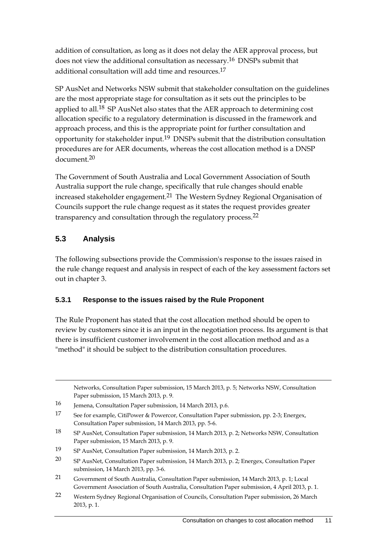addition of consultation, as long as it does not delay the AER approval process, but does not view the additional consultation as necessary.16 DNSPs submit that additional consultation will add time and resources.17

SP AusNet and Networks NSW submit that stakeholder consultation on the guidelines are the most appropriate stage for consultation as it sets out the principles to be applied to all.<sup>18</sup> SP AusNet also states that the AER approach to determining cost allocation specific to a regulatory determination is discussed in the framework and approach process, and this is the appropriate point for further consultation and opportunity for stakeholder input.19 DNSPs submit that the distribution consultation procedures are for AER documents, whereas the cost allocation method is a DNSP document<sup>20</sup>

The Government of South Australia and Local Government Association of South Australia support the rule change, specifically that rule changes should enable increased stakeholder engagement.<sup>21</sup> The Western Sydney Regional Organisation of Councils support the rule change request as it states the request provides greater transparency and consultation through the regulatory process.<sup>22</sup>

### **5.3 Analysis**

<u>.</u>

The following subsections provide the Commission's response to the issues raised in the rule change request and analysis in respect of each of the key assessment factors set out in chapter 3.

### **5.3.1 Response to the issues raised by the Rule Proponent**

The Rule Proponent has stated that the cost allocation method should be open to review by customers since it is an input in the negotiation process. Its argument is that there is insufficient customer involvement in the cost allocation method and as a "method" it should be subject to the distribution consultation procedures.

Networks, Consultation Paper submission, 15 March 2013, p. 5; Networks NSW, Consultation Paper submission, 15 March 2013, p. 9.

<sup>16</sup> Jemena, Consultation Paper submission, 14 March 2013, p.6.

<sup>17</sup> See for example, CitiPower & Powercor, Consultation Paper submission, pp. 2-3; Energex, Consultation Paper submission, 14 March 2013, pp. 5-6.

<sup>18</sup> SP AusNet, Consultation Paper submission, 14 March 2013, p. 2; Networks NSW, Consultation Paper submission, 15 March 2013, p. 9.

<sup>19</sup> SP AusNet, Consultation Paper submission, 14 March 2013, p. 2.

<sup>20</sup> SP AusNet, Consultation Paper submission, 14 March 2013, p. 2; Energex, Consultation Paper submission, 14 March 2013, pp. 3-6.

<sup>21</sup> Government of South Australia, Consultation Paper submission, 14 March 2013, p. 1; Local Government Association of South Australia, Consultation Paper submission, 4 April 2013, p. 1.

<sup>22</sup> Western Sydney Regional Organisation of Councils, Consultation Paper submission, 26 March 2013, p. 1.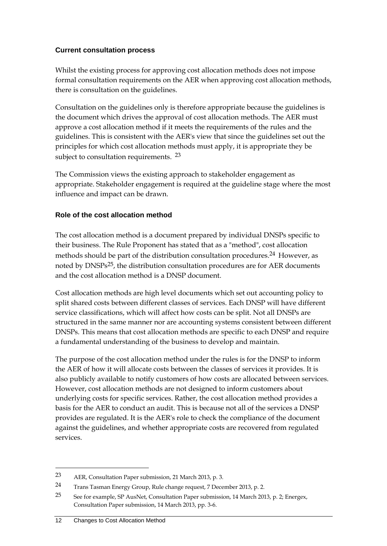#### **Current consultation process**

Whilst the existing process for approving cost allocation methods does not impose formal consultation requirements on the AER when approving cost allocation methods, there is consultation on the guidelines.

Consultation on the guidelines only is therefore appropriate because the guidelines is the document which drives the approval of cost allocation methods. The AER must approve a cost allocation method if it meets the requirements of the rules and the guidelines. This is consistent with the AER's view that since the guidelines set out the principles for which cost allocation methods must apply, it is appropriate they be subject to consultation requirements. <sup>23</sup>

The Commission views the existing approach to stakeholder engagement as appropriate. Stakeholder engagement is required at the guideline stage where the most influence and impact can be drawn.

### **Role of the cost allocation method**

The cost allocation method is a document prepared by individual DNSPs specific to their business. The Rule Proponent has stated that as a "method", cost allocation methods should be part of the distribution consultation procedures.<sup>24</sup> However, as noted by DNSPs25, the distribution consultation procedures are for AER documents and the cost allocation method is a DNSP document.

Cost allocation methods are high level documents which set out accounting policy to split shared costs between different classes of services. Each DNSP will have different service classifications, which will affect how costs can be split. Not all DNSPs are structured in the same manner nor are accounting systems consistent between different DNSPs. This means that cost allocation methods are specific to each DNSP and require a fundamental understanding of the business to develop and maintain.

The purpose of the cost allocation method under the rules is for the DNSP to inform the AER of how it will allocate costs between the classes of services it provides. It is also publicly available to notify customers of how costs are allocated between services. However, cost allocation methods are not designed to inform customers about underlying costs for specific services. Rather, the cost allocation method provides a basis for the AER to conduct an audit. This is because not all of the services a DNSP provides are regulated. It is the AER's role to check the compliance of the document against the guidelines, and whether appropriate costs are recovered from regulated services.

<sup>23</sup> AER, Consultation Paper submission, 21 March 2013, p. 3.

<sup>24</sup> Trans Tasman Energy Group, Rule change request, 7 December 2013, p. 2.

<sup>25</sup> See for example, SP AusNet, Consultation Paper submission, 14 March 2013, p. 2; Energex, Consultation Paper submission, 14 March 2013, pp. 3-6.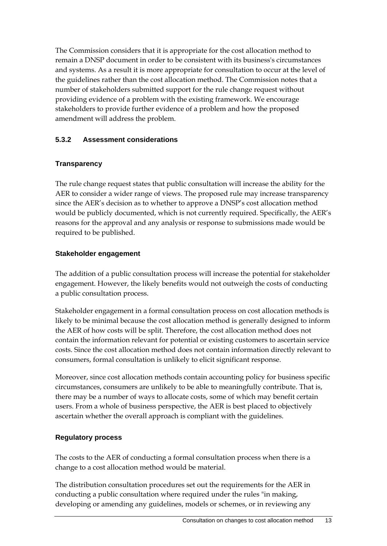The Commission considers that it is appropriate for the cost allocation method to remain a DNSP document in order to be consistent with its business's circumstances and systems. As a result it is more appropriate for consultation to occur at the level of the guidelines rather than the cost allocation method. The Commission notes that a number of stakeholders submitted support for the rule change request without providing evidence of a problem with the existing framework. We encourage stakeholders to provide further evidence of a problem and how the proposed amendment will address the problem.

#### **5.3.2 Assessment considerations**

#### **Transparency**

The rule change request states that public consultation will increase the ability for the AER to consider a wider range of views. The proposed rule may increase transparency since the AER's decision as to whether to approve a DNSP's cost allocation method would be publicly documented, which is not currently required. Specifically, the AER's reasons for the approval and any analysis or response to submissions made would be required to be published.

#### **Stakeholder engagement**

The addition of a public consultation process will increase the potential for stakeholder engagement. However, the likely benefits would not outweigh the costs of conducting a public consultation process.

Stakeholder engagement in a formal consultation process on cost allocation methods is likely to be minimal because the cost allocation method is generally designed to inform the AER of how costs will be split. Therefore, the cost allocation method does not contain the information relevant for potential or existing customers to ascertain service costs. Since the cost allocation method does not contain information directly relevant to consumers, formal consultation is unlikely to elicit significant response.

Moreover, since cost allocation methods contain accounting policy for business specific circumstances, consumers are unlikely to be able to meaningfully contribute. That is, there may be a number of ways to allocate costs, some of which may benefit certain users. From a whole of business perspective, the AER is best placed to objectively ascertain whether the overall approach is compliant with the guidelines.

#### **Regulatory process**

The costs to the AER of conducting a formal consultation process when there is a change to a cost allocation method would be material.

The distribution consultation procedures set out the requirements for the AER in conducting a public consultation where required under the rules "in making, developing or amending any guidelines, models or schemes, or in reviewing any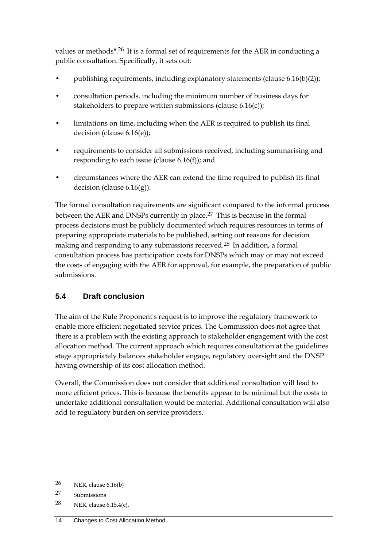values or methods".26 It is a formal set of requirements for the AER in conducting a public consultation. Specifically, it sets out:

- publishing requirements, including explanatory statements (clause 6.16(b)(2));
- consultation periods, including the minimum number of business days for stakeholders to prepare written submissions (clause 6.16(c));
- limitations on time, including when the AER is required to publish its final decision (clause 6.16(e));
- requirements to consider all submissions received, including summarising and responding to each issue (clause  $6.16(f)$ ); and
- circumstances where the AER can extend the time required to publish its final decision (clause 6.16(g)).

The formal consultation requirements are significant compared to the informal process between the AER and DNSPs currently in place.<sup>27</sup> This is because in the formal process decisions must be publicly documented which requires resources in terms of preparing appropriate materials to be published, setting out reasons for decision making and responding to any submissions received.28 In addition, a formal consultation process has participation costs for DNSPs which may or may not exceed the costs of engaging with the AER for approval, for example, the preparation of public submissions.

# **5.4 Draft conclusion**

The aim of the Rule Proponent's request is to improve the regulatory framework to enable more efficient negotiated service prices. The Commission does not agree that there is a problem with the existing approach to stakeholder engagement with the cost allocation method. The current approach which requires consultation at the guidelines stage appropriately balances stakeholder engage, regulatory oversight and the DNSP having ownership of its cost allocation method.

Overall, the Commission does not consider that additional consultation will lead to more efficient prices. This is because the benefits appear to be minimal but the costs to undertake additional consultation would be material. Additional consultation will also add to regulatory burden on service providers.

<u>.</u>

 $26$  NER, clause 6.16(b)

<sup>27</sup> Submissions

<sup>28</sup> NER, clause 6.15.4(c).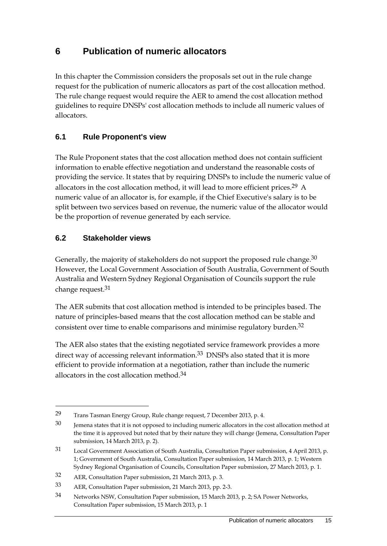# **6 Publication of numeric allocators**

In this chapter the Commission considers the proposals set out in the rule change request for the publication of numeric allocators as part of the cost allocation method. The rule change request would require the AER to amend the cost allocation method guidelines to require DNSPs' cost allocation methods to include all numeric values of allocators.

### **6.1 Rule Proponent's view**

The Rule Proponent states that the cost allocation method does not contain sufficient information to enable effective negotiation and understand the reasonable costs of providing the service. It states that by requiring DNSPs to include the numeric value of allocators in the cost allocation method, it will lead to more efficient prices.29 A numeric value of an allocator is, for example, if the Chief Executive's salary is to be split between two services based on revenue, the numeric value of the allocator would be the proportion of revenue generated by each service.

### **6.2 Stakeholder views**

1

Generally, the majority of stakeholders do not support the proposed rule change.<sup>30</sup> However, the Local Government Association of South Australia, Government of South Australia and Western Sydney Regional Organisation of Councils support the rule change request.31

The AER submits that cost allocation method is intended to be principles based. The nature of principles-based means that the cost allocation method can be stable and consistent over time to enable comparisons and minimise regulatory burden.<sup>32</sup>

The AER also states that the existing negotiated service framework provides a more direct way of accessing relevant information.<sup>33</sup> DNSPs also stated that it is more efficient to provide information at a negotiation, rather than include the numeric allocators in the cost allocation method.<sup>34</sup>

<sup>29</sup> Trans Tasman Energy Group, Rule change request, 7 December 2013, p. 4.

<sup>30</sup> Jemena states that it is not opposed to including numeric allocators in the cost allocation method at the time it is approved but noted that by their nature they will change (Jemena, Consultation Paper submission, 14 March 2013, p. 2).

<sup>31</sup> Local Government Association of South Australia, Consultation Paper submission, 4 April 2013, p. 1; Government of South Australia, Consultation Paper submission, 14 March 2013, p. 1; Western Sydney Regional Organisation of Councils, Consultation Paper submission, 27 March 2013, p. 1.

<sup>32</sup> AER, Consultation Paper submission, 21 March 2013, p. 3.

<sup>33</sup> AER, Consultation Paper submission, 21 March 2013, pp. 2-3.

<sup>34</sup> Networks NSW, Consultation Paper submission, 15 March 2013, p. 2; SA Power Networks, Consultation Paper submission, 15 March 2013, p. 1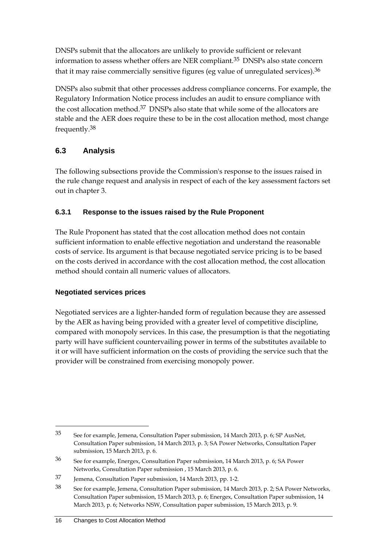DNSPs submit that the allocators are unlikely to provide sufficient or relevant information to assess whether offers are NER compliant.35 DNSPs also state concern that it may raise commercially sensitive figures (eg value of unregulated services). $36$ 

DNSPs also submit that other processes address compliance concerns. For example, the Regulatory Information Notice process includes an audit to ensure compliance with the cost allocation method.37 DNSPs also state that while some of the allocators are stable and the AER does require these to be in the cost allocation method, most change frequently.38

# **6.3 Analysis**

The following subsections provide the Commission's response to the issues raised in the rule change request and analysis in respect of each of the key assessment factors set out in chapter 3.

### **6.3.1 Response to the issues raised by the Rule Proponent**

The Rule Proponent has stated that the cost allocation method does not contain sufficient information to enable effective negotiation and understand the reasonable costs of service. Its argument is that because negotiated service pricing is to be based on the costs derived in accordance with the cost allocation method, the cost allocation method should contain all numeric values of allocators.

### **Negotiated services prices**

1

Negotiated services are a lighter-handed form of regulation because they are assessed by the AER as having being provided with a greater level of competitive discipline, compared with monopoly services. In this case, the presumption is that the negotiating party will have sufficient countervailing power in terms of the substitutes available to it or will have sufficient information on the costs of providing the service such that the provider will be constrained from exercising monopoly power.

<sup>35</sup> See for example, Jemena, Consultation Paper submission, 14 March 2013, p. 6; SP AusNet, Consultation Paper submission, 14 March 2013, p. 3; SA Power Networks, Consultation Paper submission, 15 March 2013, p. 6.

<sup>36</sup> See for example, Energex, Consultation Paper submission, 14 March 2013, p. 6; SA Power Networks, Consultation Paper submission , 15 March 2013, p. 6.

<sup>37</sup> Jemena, Consultation Paper submission, 14 March 2013, pp. 1-2.

<sup>38</sup> See for example, Jemena, Consultation Paper submission, 14 March 2013, p. 2; SA Power Networks, Consultation Paper submission, 15 March 2013, p. 6; Energex, Consultation Paper submission, 14 March 2013, p. 6; Networks NSW, Consultation paper submission, 15 March 2013, p. 9.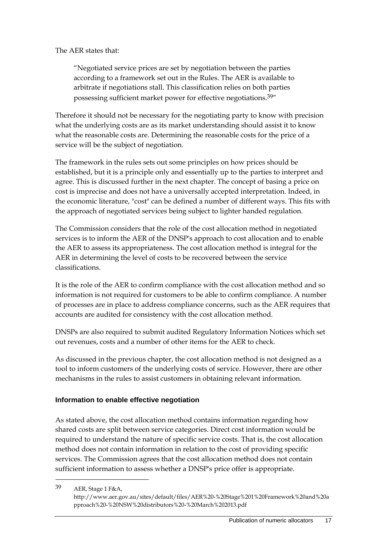The AER states that:

"Negotiated service prices are set by negotiation between the parties according to a framework set out in the Rules. The AER is available to arbitrate if negotiations stall. This classification relies on both parties possessing sufficient market power for effective negotiations.39"

Therefore it should not be necessary for the negotiating party to know with precision what the underlying costs are as its market understanding should assist it to know what the reasonable costs are. Determining the reasonable costs for the price of a service will be the subject of negotiation.

The framework in the rules sets out some principles on how prices should be established, but it is a principle only and essentially up to the parties to interpret and agree. This is discussed further in the next chapter. The concept of basing a price on cost is imprecise and does not have a universally accepted interpretation. Indeed, in the economic literature, "cost" can be defined a number of different ways. This fits with the approach of negotiated services being subject to lighter handed regulation.

The Commission considers that the role of the cost allocation method in negotiated services is to inform the AER of the DNSP's approach to cost allocation and to enable the AER to assess its appropriateness. The cost allocation method is integral for the AER in determining the level of costs to be recovered between the service classifications.

It is the role of the AER to confirm compliance with the cost allocation method and so information is not required for customers to be able to confirm compliance. A number of processes are in place to address compliance concerns, such as the AER requires that accounts are audited for consistency with the cost allocation method.

DNSPs are also required to submit audited Regulatory Information Notices which set out revenues, costs and a number of other items for the AER to check.

As discussed in the previous chapter, the cost allocation method is not designed as a tool to inform customers of the underlying costs of service. However, there are other mechanisms in the rules to assist customers in obtaining relevant information.

#### **Information to enable effective negotiation**

As stated above, the cost allocation method contains information regarding how shared costs are split between service categories. Direct cost information would be required to understand the nature of specific service costs. That is, the cost allocation method does not contain information in relation to the cost of providing specific services. The Commission agrees that the cost allocation method does not contain sufficient information to assess whether a DNSP's price offer is appropriate.

39 AER, Stage 1 F&A,

<u>.</u>

http://www.aer.gov.au/sites/default/files/AER%20-%20Stage%201%20Framework%20and%20a pproach%20-%20NSW%20distributors%20-%20March%202013.pdf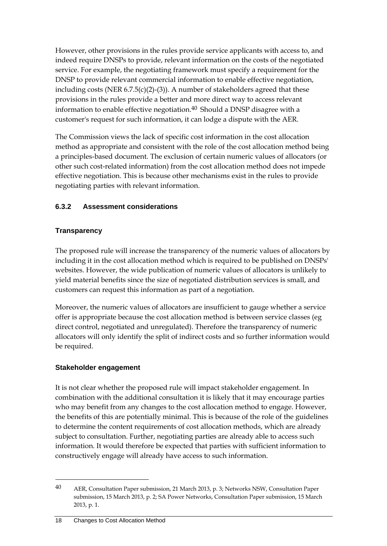However, other provisions in the rules provide service applicants with access to, and indeed require DNSPs to provide, relevant information on the costs of the negotiated service. For example, the negotiating framework must specify a requirement for the DNSP to provide relevant commercial information to enable effective negotiation, including costs (NER 6.7.5(c)(2)-(3)). A number of stakeholders agreed that these provisions in the rules provide a better and more direct way to access relevant information to enable effective negotiation. $40$  Should a DNSP disagree with a customer's request for such information, it can lodge a dispute with the AER.

The Commission views the lack of specific cost information in the cost allocation method as appropriate and consistent with the role of the cost allocation method being a principles-based document. The exclusion of certain numeric values of allocators (or other such cost-related information) from the cost allocation method does not impede effective negotiation. This is because other mechanisms exist in the rules to provide negotiating parties with relevant information.

### **6.3.2 Assessment considerations**

#### **Transparency**

The proposed rule will increase the transparency of the numeric values of allocators by including it in the cost allocation method which is required to be published on DNSPs' websites. However, the wide publication of numeric values of allocators is unlikely to yield material benefits since the size of negotiated distribution services is small, and customers can request this information as part of a negotiation.

Moreover, the numeric values of allocators are insufficient to gauge whether a service offer is appropriate because the cost allocation method is between service classes (eg direct control, negotiated and unregulated). Therefore the transparency of numeric allocators will only identify the split of indirect costs and so further information would be required.

#### **Stakeholder engagement**

It is not clear whether the proposed rule will impact stakeholder engagement. In combination with the additional consultation it is likely that it may encourage parties who may benefit from any changes to the cost allocation method to engage. However, the benefits of this are potentially minimal. This is because of the role of the guidelines to determine the content requirements of cost allocation methods, which are already subject to consultation. Further, negotiating parties are already able to access such information. It would therefore be expected that parties with sufficient information to constructively engage will already have access to such information.

<u>.</u>

<sup>40</sup> AER, Consultation Paper submission, 21 March 2013, p. 3; Networks NSW, Consultation Paper submission, 15 March 2013, p. 2; SA Power Networks, Consultation Paper submission, 15 March 2013, p. 1.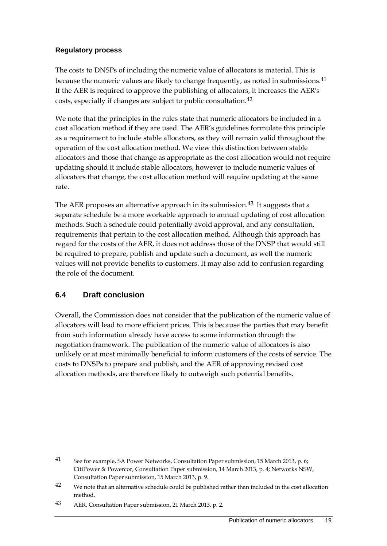#### **Regulatory process**

The costs to DNSPs of including the numeric value of allocators is material. This is because the numeric values are likely to change frequently, as noted in submissions.<sup>41</sup> If the AER is required to approve the publishing of allocators, it increases the AER's costs, especially if changes are subject to public consultation.42

We note that the principles in the rules state that numeric allocators be included in a cost allocation method if they are used. The AER's guidelines formulate this principle as a requirement to include stable allocators, as they will remain valid throughout the operation of the cost allocation method. We view this distinction between stable allocators and those that change as appropriate as the cost allocation would not require updating should it include stable allocators, however to include numeric values of allocators that change, the cost allocation method will require updating at the same rate.

The AER proposes an alternative approach in its submission.<sup>43</sup> It suggests that a separate schedule be a more workable approach to annual updating of cost allocation methods. Such a schedule could potentially avoid approval, and any consultation, requirements that pertain to the cost allocation method. Although this approach has regard for the costs of the AER, it does not address those of the DNSP that would still be required to prepare, publish and update such a document, as well the numeric values will not provide benefits to customers. It may also add to confusion regarding the role of the document.

### **6.4 Draft conclusion**

1

Overall, the Commission does not consider that the publication of the numeric value of allocators will lead to more efficient prices. This is because the parties that may benefit from such information already have access to some information through the negotiation framework. The publication of the numeric value of allocators is also unlikely or at most minimally beneficial to inform customers of the costs of service. The costs to DNSPs to prepare and publish, and the AER of approving revised cost allocation methods, are therefore likely to outweigh such potential benefits.

<sup>41</sup> See for example, SA Power Networks, Consultation Paper submission, 15 March 2013, p. 6; CitiPower & Powercor, Consultation Paper submission, 14 March 2013, p. 4; Networks NSW, Consultation Paper submission, 15 March 2013, p. 9.

<sup>&</sup>lt;sup>42</sup> We note that an alternative schedule could be published rather than included in the cost allocation method.

<sup>43</sup> AER, Consultation Paper submission, 21 March 2013, p. 2.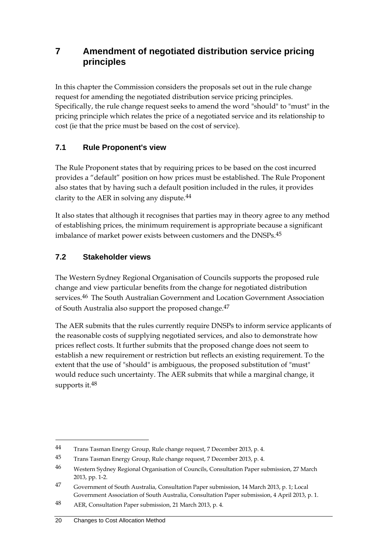# **7 Amendment of negotiated distribution service pricing principles**

In this chapter the Commission considers the proposals set out in the rule change request for amending the negotiated distribution service pricing principles. Specifically, the rule change request seeks to amend the word "should" to "must" in the pricing principle which relates the price of a negotiated service and its relationship to cost (ie that the price must be based on the cost of service).

# **7.1 Rule Proponent's view**

The Rule Proponent states that by requiring prices to be based on the cost incurred provides a "default" position on how prices must be established. The Rule Proponent also states that by having such a default position included in the rules, it provides clarity to the AER in solving any dispute.44

It also states that although it recognises that parties may in theory agree to any method of establishing prices, the minimum requirement is appropriate because a significant imbalance of market power exists between customers and the DNSPs.45

### **7.2 Stakeholder views**

The Western Sydney Regional Organisation of Councils supports the proposed rule change and view particular benefits from the change for negotiated distribution services.<sup>46</sup> The South Australian Government and Location Government Association of South Australia also support the proposed change.47

The AER submits that the rules currently require DNSPs to inform service applicants of the reasonable costs of supplying negotiated services, and also to demonstrate how prices reflect costs. It further submits that the proposed change does not seem to establish a new requirement or restriction but reflects an existing requirement. To the extent that the use of "should" is ambiguous, the proposed substitution of "must" would reduce such uncertainty. The AER submits that while a marginal change, it supports it.48

<sup>44</sup> Trans Tasman Energy Group, Rule change request, 7 December 2013, p. 4.

<sup>45</sup> Trans Tasman Energy Group, Rule change request, 7 December 2013, p. 4.

<sup>46</sup> Western Sydney Regional Organisation of Councils, Consultation Paper submission, 27 March 2013, pp. 1-2.

<sup>47</sup> Government of South Australia, Consultation Paper submission, 14 March 2013, p. 1; Local Government Association of South Australia, Consultation Paper submission, 4 April 2013, p. 1.

<sup>48</sup> AER, Consultation Paper submission, 21 March 2013, p. 4.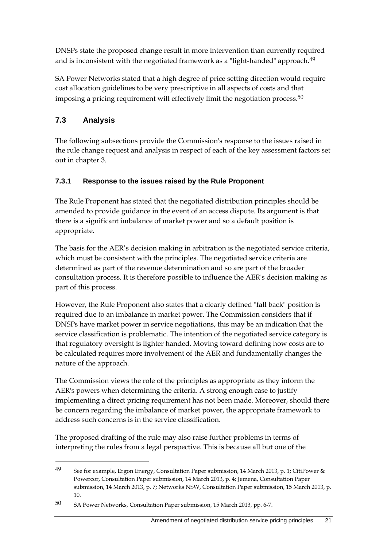DNSPs state the proposed change result in more intervention than currently required and is inconsistent with the negotiated framework as a "light-handed" approach.<sup>49</sup>

SA Power Networks stated that a high degree of price setting direction would require cost allocation guidelines to be very prescriptive in all aspects of costs and that imposing a pricing requirement will effectively limit the negotiation process.<sup>50</sup>

# **7.3 Analysis**

1

The following subsections provide the Commission's response to the issues raised in the rule change request and analysis in respect of each of the key assessment factors set out in chapter 3.

### **7.3.1 Response to the issues raised by the Rule Proponent**

The Rule Proponent has stated that the negotiated distribution principles should be amended to provide guidance in the event of an access dispute. Its argument is that there is a significant imbalance of market power and so a default position is appropriate.

The basis for the AER's decision making in arbitration is the negotiated service criteria, which must be consistent with the principles. The negotiated service criteria are determined as part of the revenue determination and so are part of the broader consultation process. It is therefore possible to influence the AER's decision making as part of this process.

However, the Rule Proponent also states that a clearly defined "fall back" position is required due to an imbalance in market power. The Commission considers that if DNSPs have market power in service negotiations, this may be an indication that the service classification is problematic. The intention of the negotiated service category is that regulatory oversight is lighter handed. Moving toward defining how costs are to be calculated requires more involvement of the AER and fundamentally changes the nature of the approach.

The Commission views the role of the principles as appropriate as they inform the AER's powers when determining the criteria. A strong enough case to justify implementing a direct pricing requirement has not been made. Moreover, should there be concern regarding the imbalance of market power, the appropriate framework to address such concerns is in the service classification.

The proposed drafting of the rule may also raise further problems in terms of interpreting the rules from a legal perspective. This is because all but one of the

<sup>49</sup> See for example, Ergon Energy, Consultation Paper submission, 14 March 2013, p. 1; CitiPower & Powercor, Consultation Paper submission, 14 March 2013, p. 4; Jemena, Consultation Paper submission, 14 March 2013, p. 7; Networks NSW, Consultation Paper submission, 15 March 2013, p. 10.

<sup>50</sup> SA Power Networks, Consultation Paper submission, 15 March 2013, pp. 6-7.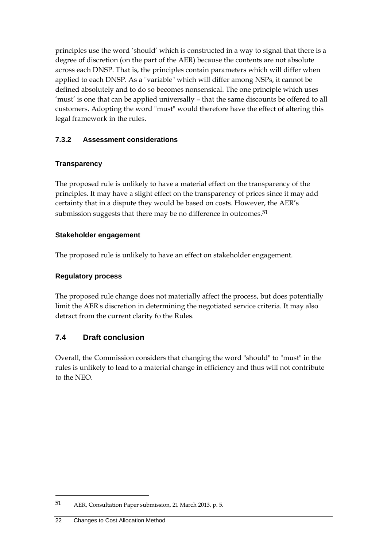principles use the word 'should' which is constructed in a way to signal that there is a degree of discretion (on the part of the AER) because the contents are not absolute across each DNSP. That is, the principles contain parameters which will differ when applied to each DNSP. As a "variable" which will differ among NSPs, it cannot be defined absolutely and to do so becomes nonsensical. The one principle which uses 'must' is one that can be applied universally – that the same discounts be offered to all customers. Adopting the word "must" would therefore have the effect of altering this legal framework in the rules.

#### **7.3.2 Assessment considerations**

#### **Transparency**

The proposed rule is unlikely to have a material effect on the transparency of the principles. It may have a slight effect on the transparency of prices since it may add certainty that in a dispute they would be based on costs. However, the AER's submission suggests that there may be no difference in outcomes.<sup>51</sup>

#### **Stakeholder engagement**

The proposed rule is unlikely to have an effect on stakeholder engagement.

#### **Regulatory process**

The proposed rule change does not materially affect the process, but does potentially limit the AER's discretion in determining the negotiated service criteria. It may also detract from the current clarity fo the Rules.

### **7.4 Draft conclusion**

Overall, the Commission considers that changing the word "should" to "must" in the rules is unlikely to lead to a material change in efficiency and thus will not contribute to the NEO.

<sup>51</sup> AER, Consultation Paper submission, 21 March 2013, p. 5.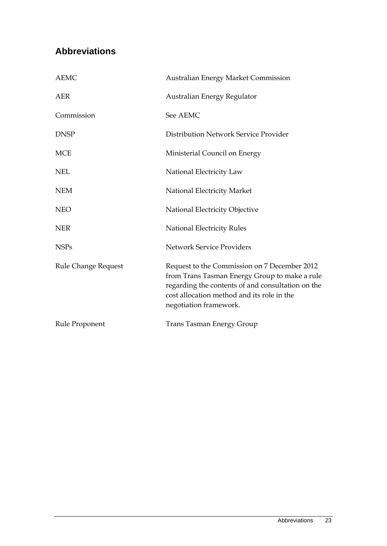# **Abbreviations**

| <b>AEMC</b>                | <b>Australian Energy Market Commission</b>                                                                                                                                                                                 |
|----------------------------|----------------------------------------------------------------------------------------------------------------------------------------------------------------------------------------------------------------------------|
| <b>AER</b>                 | Australian Energy Regulator                                                                                                                                                                                                |
| Commission                 | See AEMC                                                                                                                                                                                                                   |
| <b>DNSP</b>                | Distribution Network Service Provider                                                                                                                                                                                      |
| <b>MCE</b>                 | Ministerial Council on Energy                                                                                                                                                                                              |
| <b>NEL</b>                 | National Electricity Law                                                                                                                                                                                                   |
| <b>NEM</b>                 | National Electricity Market                                                                                                                                                                                                |
| <b>NEO</b>                 | National Electricity Objective                                                                                                                                                                                             |
| <b>NER</b>                 | <b>National Electricity Rules</b>                                                                                                                                                                                          |
| <b>NSPs</b>                | <b>Network Service Providers</b>                                                                                                                                                                                           |
| <b>Rule Change Request</b> | Request to the Commission on 7 December 2012<br>from Trans Tasman Energy Group to make a rule<br>regarding the contents of and consultation on the<br>cost allocation method and its role in the<br>negotiation framework. |
| Rule Proponent             | <b>Trans Tasman Energy Group</b>                                                                                                                                                                                           |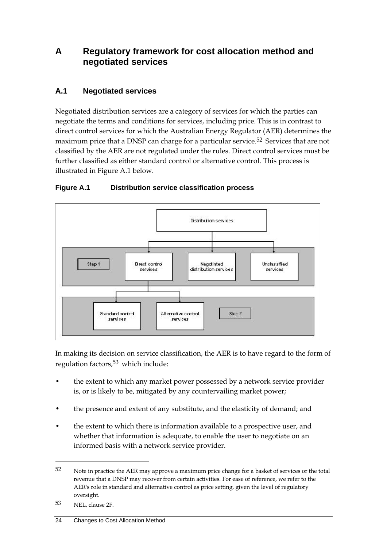# **A Regulatory framework for cost allocation method and negotiated services**

### **A.1 Negotiated services**

Negotiated distribution services are a category of services for which the parties can negotiate the terms and conditions for services, including price. This is in contrast to direct control services for which the Australian Energy Regulator (AER) determines the maximum price that a DNSP can charge for a particular service.<sup>52</sup> Services that are not classified by the AER are not regulated under the rules. Direct control services must be further classified as either standard control or alternative control. This process is illustrated in Figure A.1 below.



### **Figure A.1 Distribution service classification process**

In making its decision on service classification, the AER is to have regard to the form of regulation factors,53 which include:

- the extent to which any market power possessed by a network service provider is, or is likely to be, mitigated by any countervailing market power;
- the presence and extent of any substitute, and the elasticity of demand; and
- the extent to which there is information available to a prospective user, and whether that information is adequate, to enable the user to negotiate on an informed basis with a network service provider.

<sup>52</sup> Note in practice the AER may approve a maximum price change for a basket of services or the total revenue that a DNSP may recover from certain activities. For ease of reference, we refer to the AER's role in standard and alternative control as price setting, given the level of regulatory oversight.

<sup>53</sup> NEL, clause 2F.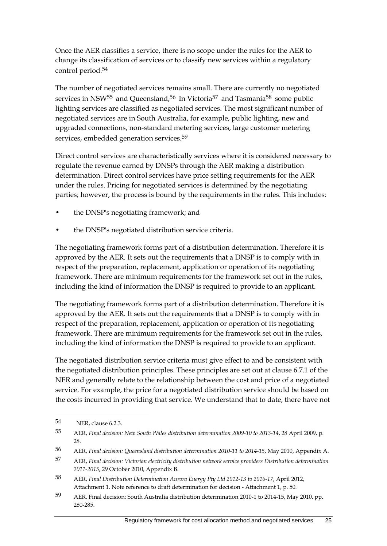Once the AER classifies a service, there is no scope under the rules for the AER to change its classification of services or to classify new services within a regulatory control period.54

The number of negotiated services remains small. There are currently no negotiated services in NSW<sup>55</sup> and Queensland,<sup>56</sup> In Victoria<sup>57</sup> and Tasmania<sup>58</sup> some public lighting services are classified as negotiated services. The most significant number of negotiated services are in South Australia, for example, public lighting, new and upgraded connections, non-standard metering services, large customer metering services, embedded generation services.<sup>59</sup>

Direct control services are characteristically services where it is considered necessary to regulate the revenue earned by DNSPs through the AER making a distribution determination. Direct control services have price setting requirements for the AER under the rules. Pricing for negotiated services is determined by the negotiating parties; however, the process is bound by the requirements in the rules. This includes:

- the DNSP's negotiating framework; and
- the DNSP's negotiated distribution service criteria.

The negotiating framework forms part of a distribution determination. Therefore it is approved by the AER. It sets out the requirements that a DNSP is to comply with in respect of the preparation, replacement, application or operation of its negotiating framework. There are minimum requirements for the framework set out in the rules, including the kind of information the DNSP is required to provide to an applicant.

The negotiating framework forms part of a distribution determination. Therefore it is approved by the AER. It sets out the requirements that a DNSP is to comply with in respect of the preparation, replacement, application or operation of its negotiating framework. There are minimum requirements for the framework set out in the rules, including the kind of information the DNSP is required to provide to an applicant.

The negotiated distribution service criteria must give effect to and be consistent with the negotiated distribution principles. These principles are set out at clause 6.7.1 of the NER and generally relate to the relationship between the cost and price of a negotiated service. For example, the price for a negotiated distribution service should be based on the costs incurred in providing that service. We understand that to date, there have not

<sup>54</sup> NER, clause 6.2.3.

<sup>55</sup> AER, *Final decision: New South Wales distribution determination 2009-10 to 2013-14*, 28 April 2009, p. 28.

<sup>56</sup> AER, *Final decision: Queensland distribution determination 2010-11 to 2014-15*, May 2010, Appendix A.

<sup>57</sup> AER, *Final decision: Victorian electricity distribution network service providers Distribution determination 2011-2015*, 29 October 2010, Appendix B.

<sup>58</sup> AER, *Final Distribution Determination Aurora Energy Pty Ltd 2012-13 to 2016-17*, April 2012, Attachment 1. Note reference to draft determination for decision - Attachment 1, p. 50.

<sup>59</sup> AER, Final decision: South Australia distribution determination 2010-1 to 2014-15, May 2010, pp. 280-285.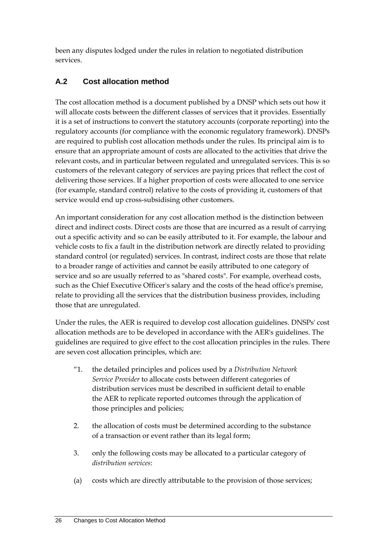been any disputes lodged under the rules in relation to negotiated distribution services.

# **A.2 Cost allocation method**

The cost allocation method is a document published by a DNSP which sets out how it will allocate costs between the different classes of services that it provides. Essentially it is a set of instructions to convert the statutory accounts (corporate reporting) into the regulatory accounts (for compliance with the economic regulatory framework). DNSPs are required to publish cost allocation methods under the rules. Its principal aim is to ensure that an appropriate amount of costs are allocated to the activities that drive the relevant costs, and in particular between regulated and unregulated services. This is so customers of the relevant category of services are paying prices that reflect the cost of delivering those services. If a higher proportion of costs were allocated to one service (for example, standard control) relative to the costs of providing it, customers of that service would end up cross-subsidising other customers.

An important consideration for any cost allocation method is the distinction between direct and indirect costs. Direct costs are those that are incurred as a result of carrying out a specific activity and so can be easily attributed to it. For example, the labour and vehicle costs to fix a fault in the distribution network are directly related to providing standard control (or regulated) services. In contrast, indirect costs are those that relate to a broader range of activities and cannot be easily attributed to one category of service and so are usually referred to as "shared costs". For example, overhead costs, such as the Chief Executive Officer's salary and the costs of the head office's premise, relate to providing all the services that the distribution business provides, including those that are unregulated.

Under the rules, the AER is required to develop cost allocation guidelines. DNSPs' cost allocation methods are to be developed in accordance with the AER's guidelines. The guidelines are required to give effect to the cost allocation principles in the rules. There are seven cost allocation principles, which are:

- "1. the detailed principles and polices used by a *Distribution Network Service Provider* to allocate costs between different categories of distribution services must be described in sufficient detail to enable the AER to replicate reported outcomes through the application of those principles and policies;
- 2. the allocation of costs must be determined according to the substance of a transaction or event rather than its legal form;
- 3. only the following costs may be allocated to a particular category of *distribution services*:
- (a) costs which are directly attributable to the provision of those services;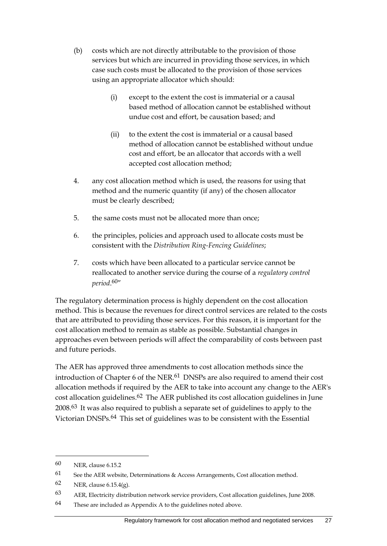- (b) costs which are not directly attributable to the provision of those services but which are incurred in providing those services, in which case such costs must be allocated to the provision of those services using an appropriate allocator which should:
	- (i) except to the extent the cost is immaterial or a causal based method of allocation cannot be established without undue cost and effort, be causation based; and
	- (ii) to the extent the cost is immaterial or a causal based method of allocation cannot be established without undue cost and effort, be an allocator that accords with a well accepted cost allocation method;
- 4. any cost allocation method which is used, the reasons for using that method and the numeric quantity (if any) of the chosen allocator must be clearly described;
- 5. the same costs must not be allocated more than once;
- 6. the principles, policies and approach used to allocate costs must be consistent with the *Distribution Ring-Fencing Guidelines*;
- 7. costs which have been allocated to a particular service cannot be reallocated to another service during the course of a *regulatory control period*. 60"

The regulatory determination process is highly dependent on the cost allocation method. This is because the revenues for direct control services are related to the costs that are attributed to providing those services. For this reason, it is important for the cost allocation method to remain as stable as possible. Substantial changes in approaches even between periods will affect the comparability of costs between past and future periods.

The AER has approved three amendments to cost allocation methods since the introduction of Chapter 6 of the NER.<sup>61</sup> DNSPs are also required to amend their cost allocation methods if required by the AER to take into account any change to the AER's cost allocation guidelines.62 The AER published its cost allocation guidelines in June 2008.63 It was also required to publish a separate set of guidelines to apply to the Victorian DNSPs.64 This set of guidelines was to be consistent with the Essential

<sup>60</sup> NER, clause 6.15.2

<sup>61</sup> See the AER website, Determinations  $\&$  Access Arrangements, Cost allocation method.

 $62$  NER, clause 6.15.4(g).

<sup>63</sup> AER, Electricity distribution network service providers, Cost allocation guidelines, June 2008.

<sup>64</sup> These are included as Appendix A to the guidelines noted above.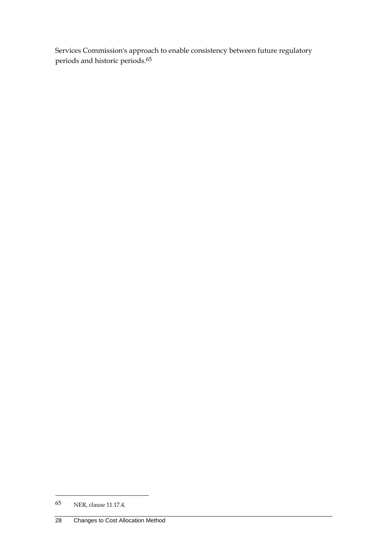Services Commission's approach to enable consistency between future regulatory periods and historic periods.65

<sup>65</sup> NER, clause 11.17.4.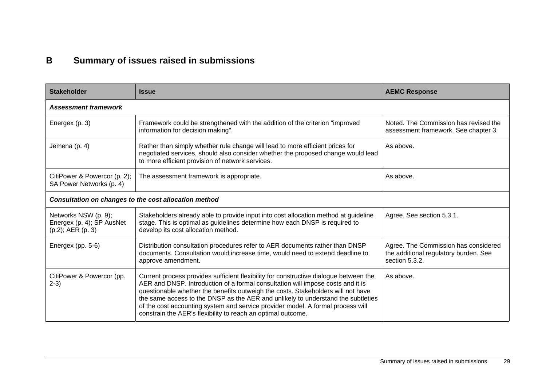# **B Summary of issues raised in submissions**

| <b>Stakeholder</b>                                                     | <b>Issue</b>                                                                                                                                                                                                                                                                                                                                                                                                                                                                                        | <b>AEMC Response</b>                                                                            |  |
|------------------------------------------------------------------------|-----------------------------------------------------------------------------------------------------------------------------------------------------------------------------------------------------------------------------------------------------------------------------------------------------------------------------------------------------------------------------------------------------------------------------------------------------------------------------------------------------|-------------------------------------------------------------------------------------------------|--|
| <b>Assessment framework</b>                                            |                                                                                                                                                                                                                                                                                                                                                                                                                                                                                                     |                                                                                                 |  |
| Energex (p. 3)                                                         | Framework could be strengthened with the addition of the criterion "improved<br>information for decision making".                                                                                                                                                                                                                                                                                                                                                                                   | Noted. The Commission has revised the<br>assessment framework. See chapter 3.                   |  |
| Jemena (p. 4)                                                          | Rather than simply whether rule change will lead to more efficient prices for<br>negotiated services, should also consider whether the proposed change would lead<br>to more efficient provision of network services.                                                                                                                                                                                                                                                                               | As above.                                                                                       |  |
| CitiPower & Powercor (p. 2);<br>SA Power Networks (p. 4)               | The assessment framework is appropriate.                                                                                                                                                                                                                                                                                                                                                                                                                                                            | As above.                                                                                       |  |
| Consultation on changes to the cost allocation method                  |                                                                                                                                                                                                                                                                                                                                                                                                                                                                                                     |                                                                                                 |  |
| Networks NSW (p. 9);<br>Energex (p. 4); SP AusNet<br>(p.2); AER (p. 3) | Stakeholders already able to provide input into cost allocation method at guideline<br>stage. This is optimal as guidelines determine how each DNSP is required to<br>develop its cost allocation method.                                                                                                                                                                                                                                                                                           | Agree. See section 5.3.1.                                                                       |  |
| Energex (pp. 5-6)                                                      | Distribution consultation procedures refer to AER documents rather than DNSP<br>documents. Consultation would increase time, would need to extend deadline to<br>approve amendment.                                                                                                                                                                                                                                                                                                                 | Agree. The Commission has considered<br>the additional regulatory burden. See<br>section 5.3.2. |  |
| CitiPower & Powercor (pp.<br>$2-3)$                                    | Current process provides sufficient flexibility for constructive dialogue between the<br>AER and DNSP. Introduction of a formal consultation will impose costs and it is<br>questionable whether the benefits outweigh the costs. Stakeholders will not have<br>the same access to the DNSP as the AER and unlikely to understand the subtleties<br>of the cost accounting system and service provider model. A formal process will<br>constrain the AER's flexibility to reach an optimal outcome. | As above.                                                                                       |  |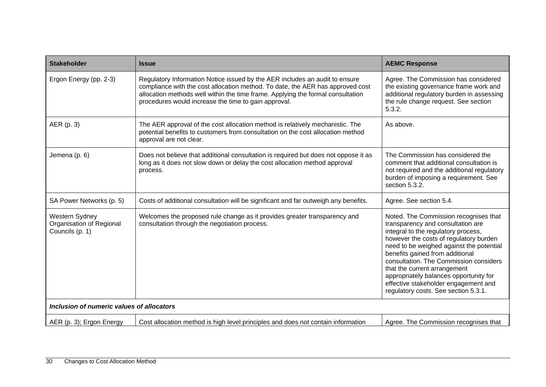| <b>Stakeholder</b>                                            | <b>Issue</b>                                                                                                                                                                                                                                                                                             | <b>AEMC Response</b>                                                                                                                                                                                                                                                                                                                                                                                                                           |
|---------------------------------------------------------------|----------------------------------------------------------------------------------------------------------------------------------------------------------------------------------------------------------------------------------------------------------------------------------------------------------|------------------------------------------------------------------------------------------------------------------------------------------------------------------------------------------------------------------------------------------------------------------------------------------------------------------------------------------------------------------------------------------------------------------------------------------------|
| Ergon Energy (pp. 2-3)                                        | Regulatory Information Notice issued by the AER includes an audit to ensure<br>compliance with the cost allocation method. To date, the AER has approved cost<br>allocation methods well within the time frame. Applying the formal consultation<br>procedures would increase the time to gain approval. | Agree. The Commission has considered<br>the existing governance frame work and<br>additional regulatory burden in assessing<br>the rule change request. See section<br>5.3.2.                                                                                                                                                                                                                                                                  |
| AER (p. 3)                                                    | The AER approval of the cost allocation method is relatively mechanistic. The<br>potential benefits to customers from consultation on the cost allocation method<br>approval are not clear.                                                                                                              | As above.                                                                                                                                                                                                                                                                                                                                                                                                                                      |
| Jemena (p. 6)                                                 | Does not believe that additional consultation is required but does not oppose it as<br>long as it does not slow down or delay the cost allocation method approval<br>process.                                                                                                                            | The Commission has considered the<br>comment that additional consultation is<br>not required and the additional regulatory<br>burden of imposing a requirement. See<br>section 5.3.2.                                                                                                                                                                                                                                                          |
| SA Power Networks (p. 5)                                      | Costs of additional consultation will be significant and far outweigh any benefits.                                                                                                                                                                                                                      | Agree. See section 5.4.                                                                                                                                                                                                                                                                                                                                                                                                                        |
| Western Sydney<br>Organisation of Regional<br>Councils (p. 1) | Welcomes the proposed rule change as it provides greater transparency and<br>consultation through the negotiation process.                                                                                                                                                                               | Noted. The Commission recognises that<br>transparency and consultation are<br>integral to the regulatory process,<br>however the costs of regulatory burden<br>need to be weighed against the potential<br>benefits gained from additional<br>consultation. The Commission considers<br>that the current arrangement<br>appropriately balances opportunity for<br>effective stakeholder engagement and<br>regulatory costs. See section 5.3.1. |
| Inclusion of numeric values of allocators                     |                                                                                                                                                                                                                                                                                                          |                                                                                                                                                                                                                                                                                                                                                                                                                                                |
| AER (p. 3); Ergon Energy                                      | Cost allocation method is high level principles and does not contain information                                                                                                                                                                                                                         | Agree. The Commission recognises that                                                                                                                                                                                                                                                                                                                                                                                                          |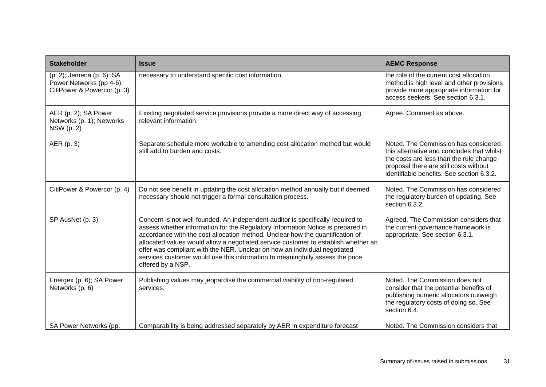| <b>Stakeholder</b>                                                                   | <b>Issue</b>                                                                                                                                                                                                                                                                                                                                                                                                                                                                                                                 | <b>AEMC Response</b>                                                                                                                                                                                                 |
|--------------------------------------------------------------------------------------|------------------------------------------------------------------------------------------------------------------------------------------------------------------------------------------------------------------------------------------------------------------------------------------------------------------------------------------------------------------------------------------------------------------------------------------------------------------------------------------------------------------------------|----------------------------------------------------------------------------------------------------------------------------------------------------------------------------------------------------------------------|
| (p. 2); Jemena (p. 6); SA<br>Power Networks (pp 4-6);<br>CitiPower & Powercor (p. 3) | necessary to understand specific cost information.                                                                                                                                                                                                                                                                                                                                                                                                                                                                           | the role of the current cost allocation<br>method is high level and other provisions<br>provide more appropriate information for<br>access seekers. See section 6.3.1.                                               |
| AER (p. 2); SA Power<br>Networks (p. 1); Networks<br>NSW (p. 2)                      | Existing negotiated service provisions provide a more direct way of accessing<br>relevant information.                                                                                                                                                                                                                                                                                                                                                                                                                       | Agree. Comment as above.                                                                                                                                                                                             |
| AER (p. 3)                                                                           | Separate schedule more workable to amending cost allocation method but would<br>still add to burden and costs.                                                                                                                                                                                                                                                                                                                                                                                                               | Noted. The Commission has considered<br>this alternative and concludes that whilst<br>the costs are less than the rule change<br>proposal there are still costs without<br>identifiable benefits. See section 6.3.2. |
| CitiPower & Powercor (p. 4)                                                          | Do not see benefit in updating the cost allocation method annually but if deemed<br>necessary should not trigger a formal consultation process.                                                                                                                                                                                                                                                                                                                                                                              | Noted. The Commission has considered<br>the regulatory burden of updating. See<br>section 6.3.2.                                                                                                                     |
| SP AusNet (p. 3)                                                                     | Concern is not well-founded. An independent auditor is specifically required to<br>assess whether information for the Regulatory Information Notice is prepared in<br>accordance with the cost allocation method. Unclear how the quantification of<br>allocated values would allow a negotiated service customer to establish whether an<br>offer was compliant with the NER. Unclear on how an individual negotiated<br>services customer would use this information to meaningfully assess the price<br>offered by a NSP. | Agreed. The Commission considers that<br>the current governance framework is<br>appropriate. See section 6.3.1.                                                                                                      |
| Energex (p. 6); SA Power<br>Networks (p. 6)                                          | Publishing values may jeopardise the commercial viability of non-regulated<br>services.                                                                                                                                                                                                                                                                                                                                                                                                                                      | Noted. The Commission does not<br>consider that the potential benefits of<br>publishing numeric allocators outweigh<br>the regulatory costs of doing so. See<br>section 6.4.                                         |
| SA Power Networks (pp.                                                               | Comparability is being addressed separately by AER in expenditure forecast                                                                                                                                                                                                                                                                                                                                                                                                                                                   | Noted. The Commission considers that                                                                                                                                                                                 |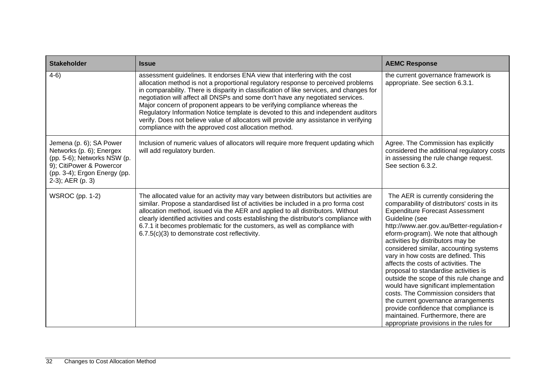| <b>Stakeholder</b>                                                                                                                                                 | <b>Issue</b>                                                                                                                                                                                                                                                                                                                                                                                                                                                                                                                                                                                                                                                      | <b>AEMC Response</b>                                                                                                                                                                                                                                                                                                                                                                                                                                                                                                                                                                                                                                                                                                                        |
|--------------------------------------------------------------------------------------------------------------------------------------------------------------------|-------------------------------------------------------------------------------------------------------------------------------------------------------------------------------------------------------------------------------------------------------------------------------------------------------------------------------------------------------------------------------------------------------------------------------------------------------------------------------------------------------------------------------------------------------------------------------------------------------------------------------------------------------------------|---------------------------------------------------------------------------------------------------------------------------------------------------------------------------------------------------------------------------------------------------------------------------------------------------------------------------------------------------------------------------------------------------------------------------------------------------------------------------------------------------------------------------------------------------------------------------------------------------------------------------------------------------------------------------------------------------------------------------------------------|
| $4-6)$                                                                                                                                                             | assessment guidelines. It endorses ENA view that interfering with the cost<br>allocation method is not a proportional regulatory response to perceived problems<br>in comparability. There is disparity in classification of like services, and changes for<br>negotiation will affect all DNSPs and some don't have any negotiated services.<br>Major concern of proponent appears to be verifying compliance whereas the<br>Regulatory Information Notice template is devoted to this and independent auditors<br>verify. Does not believe value of allocators will provide any assistance in verifying<br>compliance with the approved cost allocation method. | the current governance framework is<br>appropriate. See section 6.3.1.                                                                                                                                                                                                                                                                                                                                                                                                                                                                                                                                                                                                                                                                      |
| Jemena (p. 6); SA Power<br>Networks (p. 6); Energex<br>(pp. 5-6); Networks NSW (p.<br>9); CitiPower & Powercor<br>(pp. 3-4); Ergon Energy (pp.<br>2-3); AER (p. 3) | Inclusion of numeric values of allocators will require more frequent updating which<br>will add regulatory burden.                                                                                                                                                                                                                                                                                                                                                                                                                                                                                                                                                | Agree. The Commission has explicitly<br>considered the additional regulatory costs<br>in assessing the rule change request.<br>See section 6.3.2.                                                                                                                                                                                                                                                                                                                                                                                                                                                                                                                                                                                           |
| WSROC (pp. 1-2)                                                                                                                                                    | The allocated value for an activity may vary between distributors but activities are<br>similar. Propose a standardised list of activities be included in a pro forma cost<br>allocation method, issued via the AER and applied to all distributors. Without<br>clearly identified activities and costs establishing the distributor's compliance with<br>6.7.1 it becomes problematic for the customers, as well as compliance with<br>6.7.5(c)(3) to demonstrate cost reflectivity.                                                                                                                                                                             | The AER is currently considering the<br>comparability of distributors' costs in its<br><b>Expenditure Forecast Assessment</b><br>Guideline (see<br>http://www.aer.gov.au/Better-regulation-r<br>eform-program). We note that although<br>activities by distributors may be<br>considered similar, accounting systems<br>vary in how costs are defined. This<br>affects the costs of activities. The<br>proposal to standardise activities is<br>outside the scope of this rule change and<br>would have significant implementation<br>costs. The Commission considers that<br>the current governance arrangements<br>provide confidence that compliance is<br>maintained. Furthermore, there are<br>appropriate provisions in the rules for |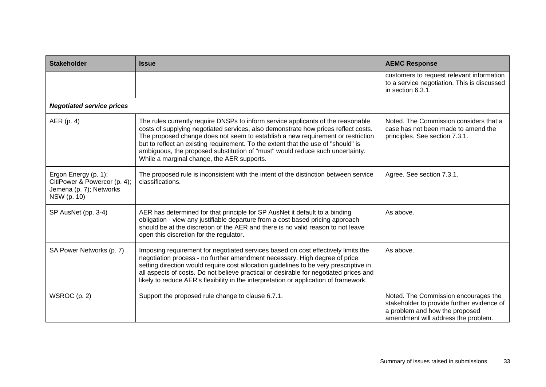| <b>Stakeholder</b>                                                                             | <b>Issue</b>                                                                                                                                                                                                                                                                                                                                                                                                                                                                  | <b>AEMC Response</b>                                                                                                                                        |
|------------------------------------------------------------------------------------------------|-------------------------------------------------------------------------------------------------------------------------------------------------------------------------------------------------------------------------------------------------------------------------------------------------------------------------------------------------------------------------------------------------------------------------------------------------------------------------------|-------------------------------------------------------------------------------------------------------------------------------------------------------------|
|                                                                                                |                                                                                                                                                                                                                                                                                                                                                                                                                                                                               | customers to request relevant information<br>to a service negotiation. This is discussed<br>in section 6.3.1.                                               |
| <b>Negotiated service prices</b>                                                               |                                                                                                                                                                                                                                                                                                                                                                                                                                                                               |                                                                                                                                                             |
| AER (p. 4)                                                                                     | The rules currently require DNSPs to inform service applicants of the reasonable<br>costs of supplying negotiated services, also demonstrate how prices reflect costs.<br>The proposed change does not seem to establish a new requirement or restriction<br>but to reflect an existing requirement. To the extent that the use of "should" is<br>ambiguous, the proposed substitution of "must" would reduce such uncertainty.<br>While a marginal change, the AER supports. | Noted. The Commission considers that a<br>case has not been made to amend the<br>principles. See section 7.3.1.                                             |
| Ergon Energy (p. 1);<br>CitiPower & Powercor (p. 4);<br>Jemena (p. 7); Networks<br>NSW (p. 10) | The proposed rule is inconsistent with the intent of the distinction between service<br>classifications.                                                                                                                                                                                                                                                                                                                                                                      | Agree. See section 7.3.1.                                                                                                                                   |
| SP AusNet (pp. 3-4)                                                                            | AER has determined for that principle for SP AusNet it default to a binding<br>obligation - view any justifiable departure from a cost based pricing approach<br>should be at the discretion of the AER and there is no valid reason to not leave<br>open this discretion for the regulator.                                                                                                                                                                                  | As above.                                                                                                                                                   |
| SA Power Networks (p. 7)                                                                       | Imposing requirement for negotiated services based on cost effectively limits the<br>negotiation process - no further amendment necessary. High degree of price<br>setting direction would require cost allocation guidelines to be very prescriptive in<br>all aspects of costs. Do not believe practical or desirable for negotiated prices and<br>likely to reduce AER's flexibility in the interpretation or application of framework.                                    | As above.                                                                                                                                                   |
| WSROC (p. 2)                                                                                   | Support the proposed rule change to clause 6.7.1.                                                                                                                                                                                                                                                                                                                                                                                                                             | Noted. The Commission encourages the<br>stakeholder to provide further evidence of<br>a problem and how the proposed<br>amendment will address the problem. |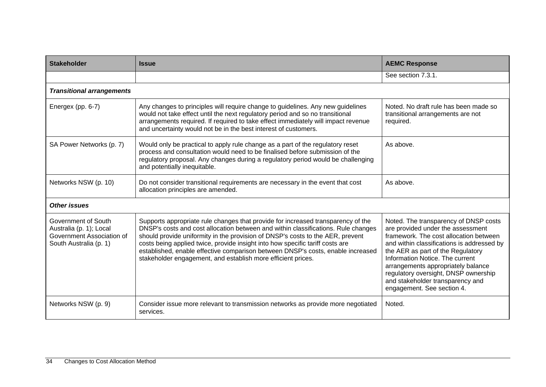| <b>Stakeholder</b>                                                                                    | <b>Issue</b>                                                                                                                                                                                                                                                                                                                                                                                                                                                                                | <b>AEMC Response</b>                                                                                                                                                                                                                                                                                                                                                                       |
|-------------------------------------------------------------------------------------------------------|---------------------------------------------------------------------------------------------------------------------------------------------------------------------------------------------------------------------------------------------------------------------------------------------------------------------------------------------------------------------------------------------------------------------------------------------------------------------------------------------|--------------------------------------------------------------------------------------------------------------------------------------------------------------------------------------------------------------------------------------------------------------------------------------------------------------------------------------------------------------------------------------------|
|                                                                                                       |                                                                                                                                                                                                                                                                                                                                                                                                                                                                                             | See section 7.3.1.                                                                                                                                                                                                                                                                                                                                                                         |
| <b>Transitional arrangements</b>                                                                      |                                                                                                                                                                                                                                                                                                                                                                                                                                                                                             |                                                                                                                                                                                                                                                                                                                                                                                            |
| Energex (pp. 6-7)                                                                                     | Any changes to principles will require change to guidelines. Any new guidelines<br>would not take effect until the next regulatory period and so no transitional<br>arrangements required. If required to take effect immediately will impact revenue<br>and uncertainty would not be in the best interest of customers.                                                                                                                                                                    | Noted. No draft rule has been made so<br>transitional arrangements are not<br>required.                                                                                                                                                                                                                                                                                                    |
| SA Power Networks (p. 7)                                                                              | Would only be practical to apply rule change as a part of the regulatory reset<br>process and consultation would need to be finalised before submission of the<br>regulatory proposal. Any changes during a regulatory period would be challenging<br>and potentially inequitable.                                                                                                                                                                                                          | As above.                                                                                                                                                                                                                                                                                                                                                                                  |
| Networks NSW (p. 10)                                                                                  | Do not consider transitional requirements are necessary in the event that cost<br>allocation principles are amended.                                                                                                                                                                                                                                                                                                                                                                        | As above.                                                                                                                                                                                                                                                                                                                                                                                  |
| <b>Other issues</b>                                                                                   |                                                                                                                                                                                                                                                                                                                                                                                                                                                                                             |                                                                                                                                                                                                                                                                                                                                                                                            |
| Government of South<br>Australia (p. 1); Local<br>Government Association of<br>South Australia (p. 1) | Supports appropriate rule changes that provide for increased transparency of the<br>DNSP's costs and cost allocation between and within classifications. Rule changes<br>should provide uniformity in the provision of DNSP's costs to the AER, prevent<br>costs being applied twice, provide insight into how specific tariff costs are<br>established, enable effective comparison between DNSP's costs, enable increased<br>stakeholder engagement, and establish more efficient prices. | Noted. The transparency of DNSP costs<br>are provided under the assessment<br>framework. The cost allocation between<br>and within classifications is addressed by<br>the AER as part of the Regulatory<br>Information Notice. The current<br>arrangements appropriately balance<br>regulatory oversight, DNSP ownership<br>and stakeholder transparency and<br>engagement. See section 4. |
| Networks NSW (p. 9)                                                                                   | Consider issue more relevant to transmission networks as provide more negotiated<br>services.                                                                                                                                                                                                                                                                                                                                                                                               | Noted.                                                                                                                                                                                                                                                                                                                                                                                     |